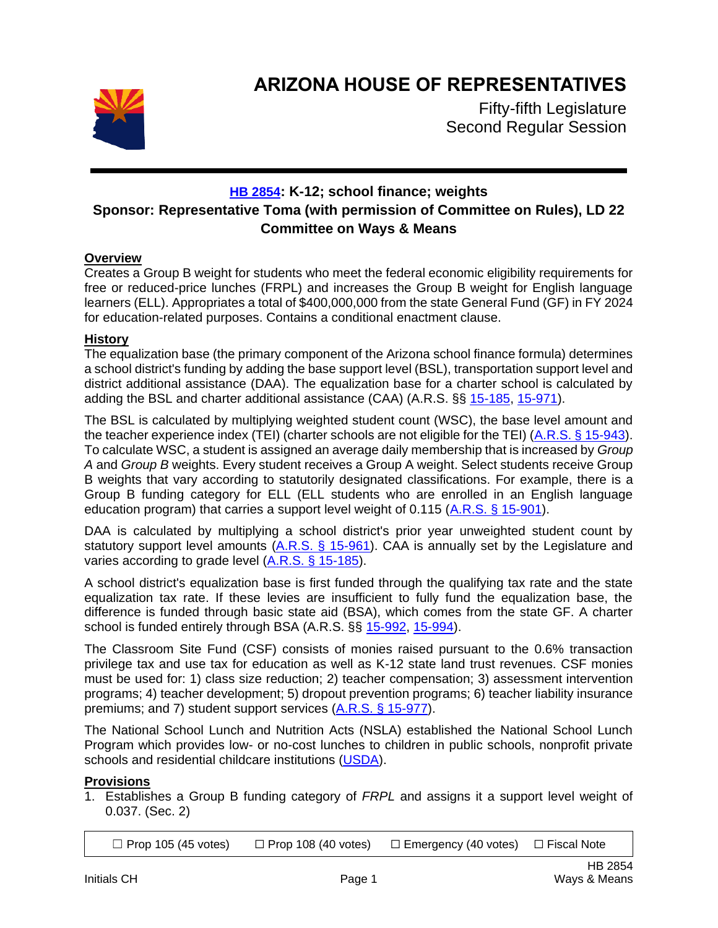

# **ARIZONA HOUSE OF REPRESENTATIVES**

Fifty-fifth Legislature Second Regular Session

# **[HB 2854](https://apps.azleg.gov/BillStatus/BillOverview/77977): K-12; school finance; weights Sponsor: Representative Toma (with permission of Committee on Rules), LD 22 Committee on Ways & Means**

## **Overview**

Creates a Group B weight for students who meet the federal economic eligibility requirements for free or reduced-price lunches (FRPL) and increases the Group B weight for English language learners (ELL). Appropriates a total of \$400,000,000 from the state General Fund (GF) in FY 2024 for education-related purposes. Contains a conditional enactment clause.

### **History**

The equalization base (the primary component of the Arizona school finance formula) determines a school district's funding by adding the base support level (BSL), transportation support level and district additional assistance (DAA). The equalization base for a charter school is calculated by adding the BSL and charter additional assistance (CAA) (A.R.S. §§ [15-185,](https://www.azleg.gov/viewdocument/?docName=https://www.azleg.gov/ars/15/00185.htm) [15-971\)](https://www.azleg.gov/viewdocument/?docName=https://www.azleg.gov/ars/15/00971.htm).

The BSL is calculated by multiplying weighted student count (WSC), the base level amount and the teacher experience index (TEI) (charter schools are not eligible for the TEI) [\(A.R.S. § 15-943\)](https://www.azleg.gov/viewdocument/?docName=https://www.azleg.gov/ars/15/00943.htm). To calculate WSC, a student is assigned an average daily membership that is increased by *Group A* and *Group B* weights. Every student receives a Group A weight. Select students receive Group B weights that vary according to statutorily designated classifications. For example, there is a Group B funding category for ELL (ELL students who are enrolled in an English language education program) that carries a support level weight of 0.115 [\(A.R.S. § 15-901\)](https://www.azleg.gov/viewdocument/?docName=https://www.azleg.gov/ars/15/00901.htm).

DAA is calculated by multiplying a school district's prior year unweighted student count by statutory support level amounts [\(A.R.S. § 15-961\)](https://www.azleg.gov/viewdocument/?docName=https://www.azleg.gov/ars/15/00961.htm). CAA is annually set by the Legislature and varies according to grade level [\(A.R.S. § 15-185\)](https://www.azleg.gov/viewdocument/?docName=https://www.azleg.gov/ars/15/00185.htm).

A school district's equalization base is first funded through the qualifying tax rate and the state equalization tax rate. If these levies are insufficient to fully fund the equalization base, the difference is funded through basic state aid (BSA), which comes from the state GF. A charter school is funded entirely through BSA (A.R.S. §§ [15-992,](https://www.azleg.gov/viewdocument/?docName=https://www.azleg.gov/ars/15/00992.htm) [15-994\)](https://www.azleg.gov/viewdocument/?docName=https://www.azleg.gov/ars/15/00994.htm).

The Classroom Site Fund (CSF) consists of monies raised pursuant to the 0.6% transaction privilege tax and use tax for education as well as K-12 state land trust revenues. CSF monies must be used for: 1) class size reduction; 2) teacher compensation; 3) assessment intervention programs; 4) teacher development; 5) dropout prevention programs; 6) teacher liability insurance premiums; and 7) student support services [\(A.R.S. § 15-977\)](https://www.azleg.gov/viewdocument/?docName=https://www.azleg.gov/ars/15/00977.htm).

The National School Lunch and Nutrition Acts (NSLA) established the National School Lunch Program which provides low- or no-cost lunches to children in public schools, nonprofit private schools and residential childcare institutions [\(USDA\)](https://www.govinfo.gov/content/pkg/FR-2022-02-16/pdf/2022-03261.pdf).

### **Provisions**

1. Establishes a Group B funding category of *FRPL* and assigns it a support level weight of 0.037. (Sec. 2)

 $\Box$  Prop 105 (45 votes)  $\Box$  Prop 108 (40 votes)  $\Box$  Emergency (40 votes)  $\Box$  Fiscal Note